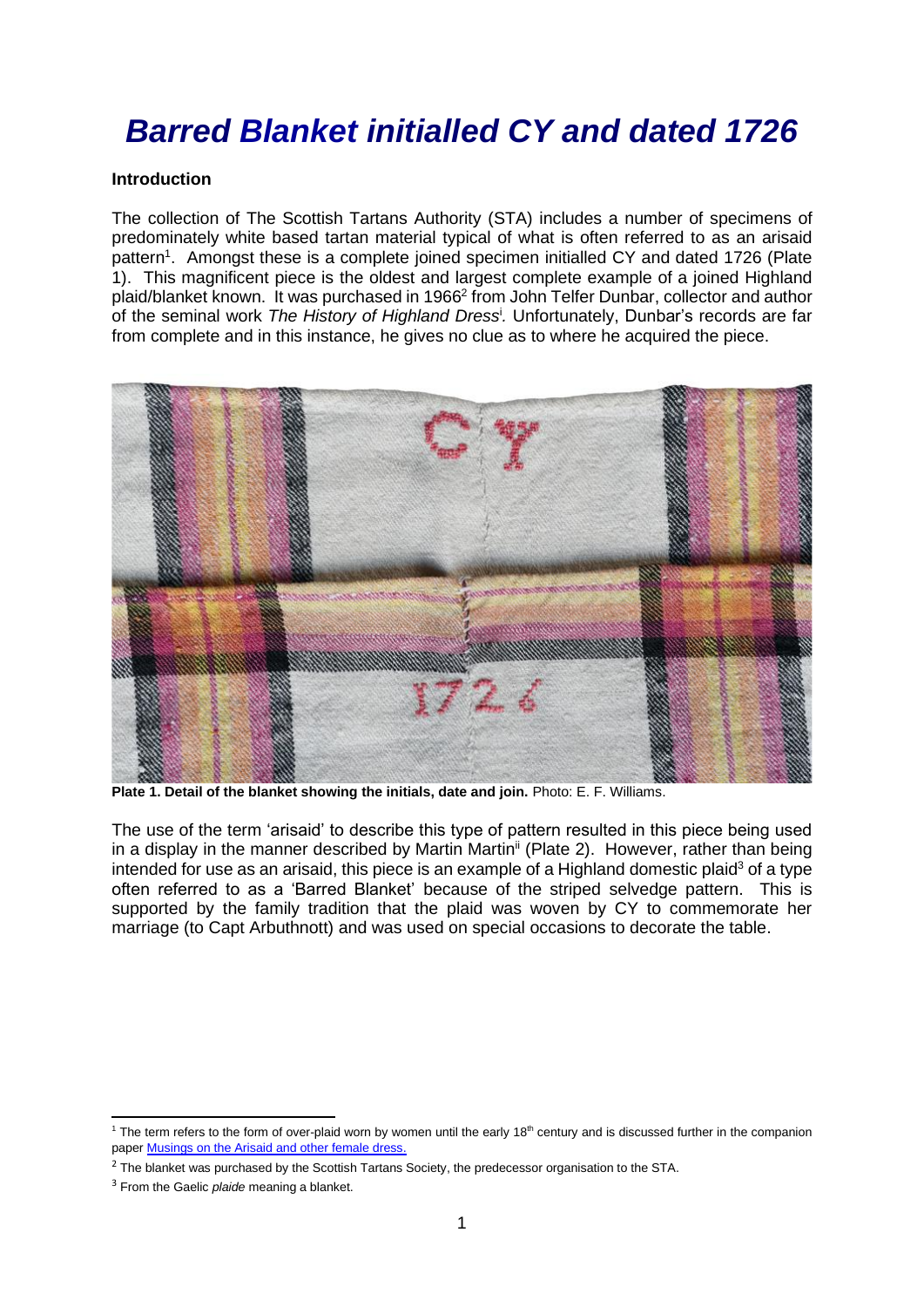# *Barred Blanket initialled CY and dated 1726*

## **Introduction**

The collection of The Scottish Tartans Authority (STA) includes a number of specimens of predominately white based tartan material typical of what is often referred to as an arisaid pattern<sup>1</sup>. Amongst these is a complete joined specimen initialled CY and dated 1726 (Plate 1). This magnificent piece is the oldest and largest complete example of a joined Highland plaid/blanket known. It was purchased in 1966 2 from John Telfer Dunbar, collector and author of the seminal work *The History of Highland Dress*<sup>i</sup> *.* Unfortunately, Dunbar's records are far from complete and in this instance, he gives no clue as to where he acquired the piece.



**Plate 1. Detail of the blanket showing the initials, date and join.** Photo: E. F. Williams.

The use of the term 'arisaid' to describe this type of pattern resulted in this piece being used in a display in the manner described by Martin Martin<sup>ii</sup> (Plate 2). However, rather than being intended for use as an arisaid, this piece is an example of a Highland domestic plaid<sup>3</sup> of a type often referred to as a 'Barred Blanket' because of the striped selvedge pattern. This is supported by the family tradition that the plaid was woven by CY to commemorate her marriage (to Capt Arbuthnott) and was used on special occasions to decorate the table.

<sup>&</sup>lt;sup>1</sup> The term refers to the form of over-plaid worn by women until the early 18<sup>th</sup> century and is discussed further in the companion pape[r Musings on the Arisaid and other female dress.](https://www.scottishtartans.co.uk/Musings_on_the_arisaid_and_other_female_dress.pdf)

<sup>&</sup>lt;sup>2</sup> The blanket was purchased by the Scottish Tartans Society, the predecessor organisation to the STA.

<sup>3</sup> From the Gaelic *plaide* meaning a blanket.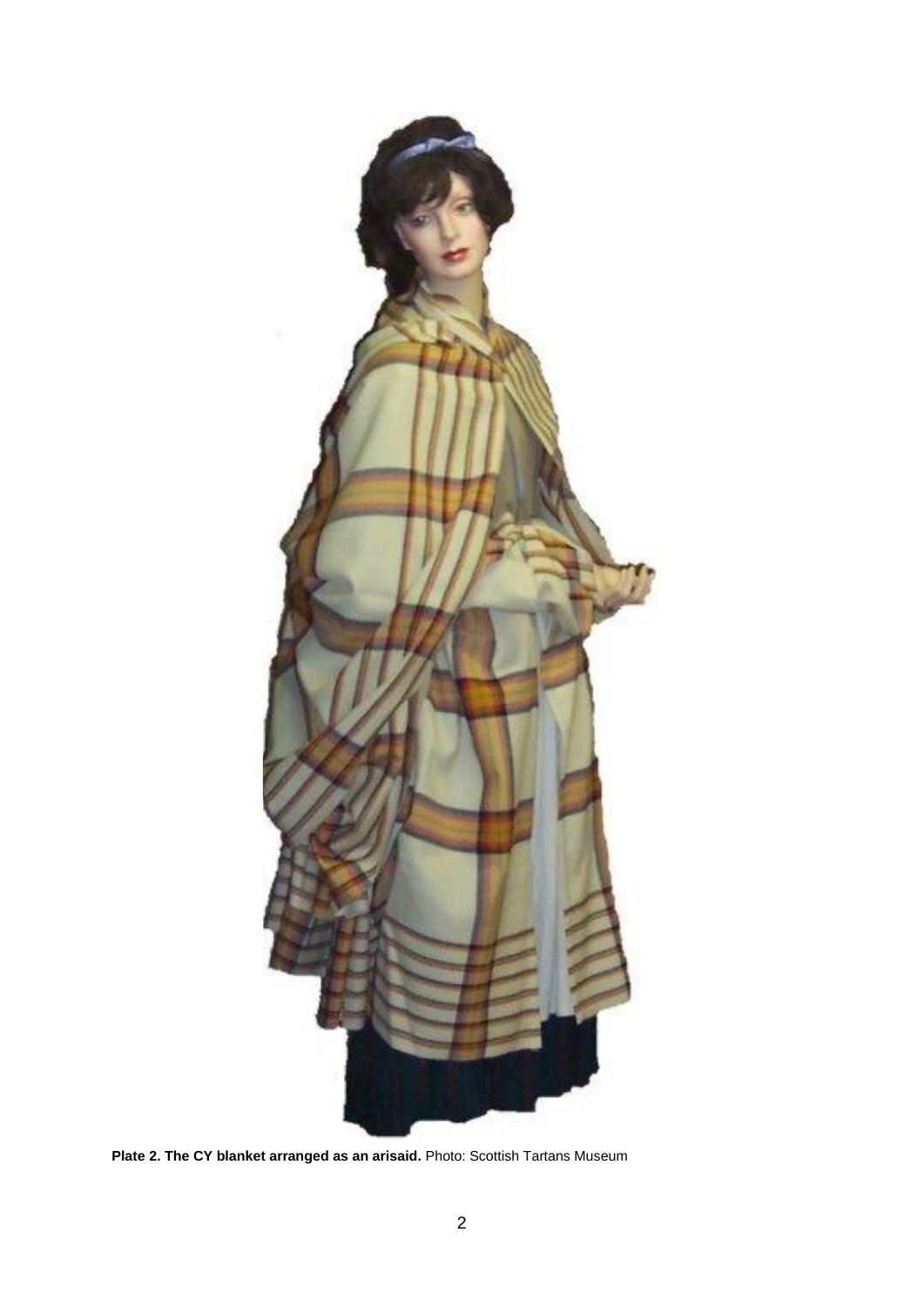

**Plate 2. The CY blanket arranged as an arisaid.** Photo: Scottish Tartans Museum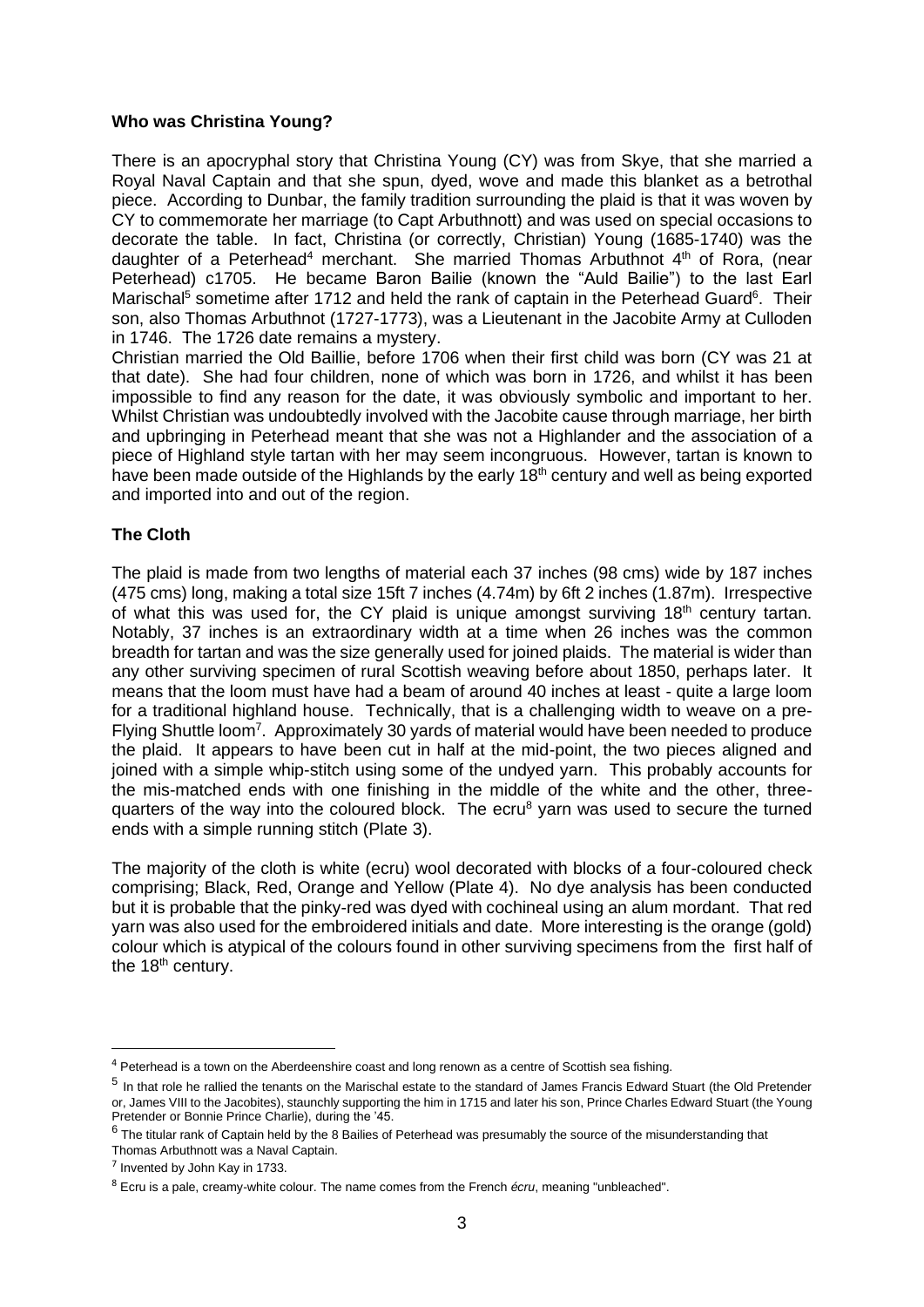### **Who was Christina Young?**

There is an apocryphal story that Christina Young (CY) was from Skye, that she married a Royal Naval Captain and that she spun, dyed, wove and made this blanket as a betrothal piece. According to Dunbar, the family tradition surrounding the plaid is that it was woven by CY to commemorate her marriage (to Capt Arbuthnott) and was used on special occasions to decorate the table.In fact, Christina (or correctly, Christian) Young (1685-1740) was the daughter of a Peterhead<sup>4</sup> merchant. She married Thomas Arbuthnot 4<sup>th</sup> of Rora, (near Peterhead) c1705. He became Baron Bailie (known the "Auld Bailie") to the last Earl Marischal<sup>5</sup> sometime after 1712 and held the rank of captain in the Peterhead Guard<sup>6</sup>. Their son, also Thomas Arbuthnot (1727-1773), was a Lieutenant in the Jacobite Army at Culloden in 1746. The 1726 date remains a mystery.

Christian married the Old Baillie, before 1706 when their first child was born (CY was 21 at that date). She had four children, none of which was born in 1726, and whilst it has been impossible to find any reason for the date, it was obviously symbolic and important to her. Whilst Christian was undoubtedly involved with the Jacobite cause through marriage, her birth and upbringing in Peterhead meant that she was not a Highlander and the association of a piece of Highland style tartan with her may seem incongruous. However, tartan is known to have been made outside of the Highlands by the early 18<sup>th</sup> century and well as being exported and imported into and out of the region.

## **The Cloth**

The plaid is made from two lengths of material each 37 inches (98 cms) wide by 187 inches (475 cms) long, making a total size 15ft 7 inches (4.74m) by 6ft 2 inches (1.87m). Irrespective of what this was used for, the CY plaid is unique amongst surviving  $18<sup>th</sup>$  century tartan. Notably, 37 inches is an extraordinary width at a time when 26 inches was the common breadth for tartan and was the size generally used for joined plaids. The material is wider than any other surviving specimen of rural Scottish weaving before about 1850, perhaps later. It means that the loom must have had a beam of around 40 inches at least - quite a large loom for a traditional highland house. Technically, that is a challenging width to weave on a pre-Flying Shuttle loom<sup>7</sup>. Approximately 30 yards of material would have been needed to produce the plaid. It appears to have been cut in half at the mid-point, the two pieces aligned and joined with a simple whip-stitch using some of the undyed yarn. This probably accounts for the mis-matched ends with one finishing in the middle of the white and the other, threequarters of the way into the coloured block. The ecru<sup>8</sup> yarn was used to secure the turned ends with a simple running stitch (Plate 3).

The majority of the cloth is white (ecru) wool decorated with blocks of a four-coloured check comprising; Black, Red, Orange and Yellow (Plate 4). No dye analysis has been conducted but it is probable that the pinky-red was dyed with cochineal using an alum mordant. That red yarn was also used for the embroidered initials and date. More interesting is the orange (gold) colour which is atypical of the colours found in other surviving specimens from the first half of the 18<sup>th</sup> century.

<sup>&</sup>lt;sup>4</sup> Peterhead is a town on the Aberdeenshire coast and long renown as a centre of Scottish sea fishing.

<sup>&</sup>lt;sup>5</sup> In that role he rallied the tenants on the Marischal estate to the standard of James Francis Edward Stuart (the Old Pretender or, James VIII to the Jacobites), staunchly supporting the him in 1715 and later his son, Prince Charles Edward Stuart (the Young Pretender or Bonnie Prince Charlie), during the '45.

 $^6$  The titular rank of Captain held by the 8 Bailies of Peterhead was presumably the source of the misunderstanding that Thomas Arbuthnott was a Naval Captain.

 $<sup>7</sup>$  Invented by John Kay in 1733.</sup>

<sup>8</sup> Ecru is a pale, creamy-white colour. The name comes from the French *écru*, meaning "unbleached".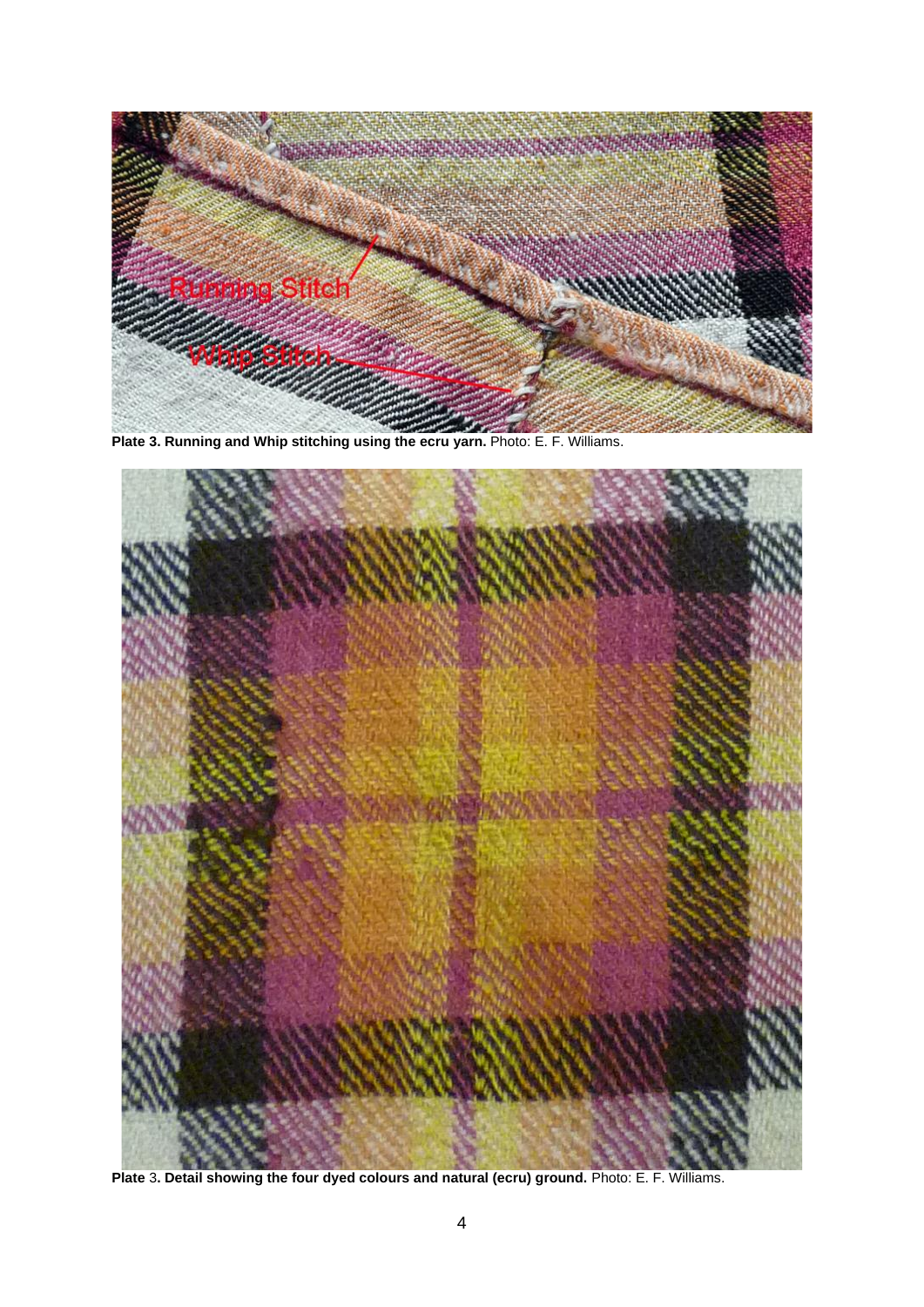

**Plate 3. Running and Whip stitching using the ecru yarn.** Photo: E. F. Williams.



**Plate** 3**. Detail showing the four dyed colours and natural (ecru) ground.** Photo: E. F. Williams.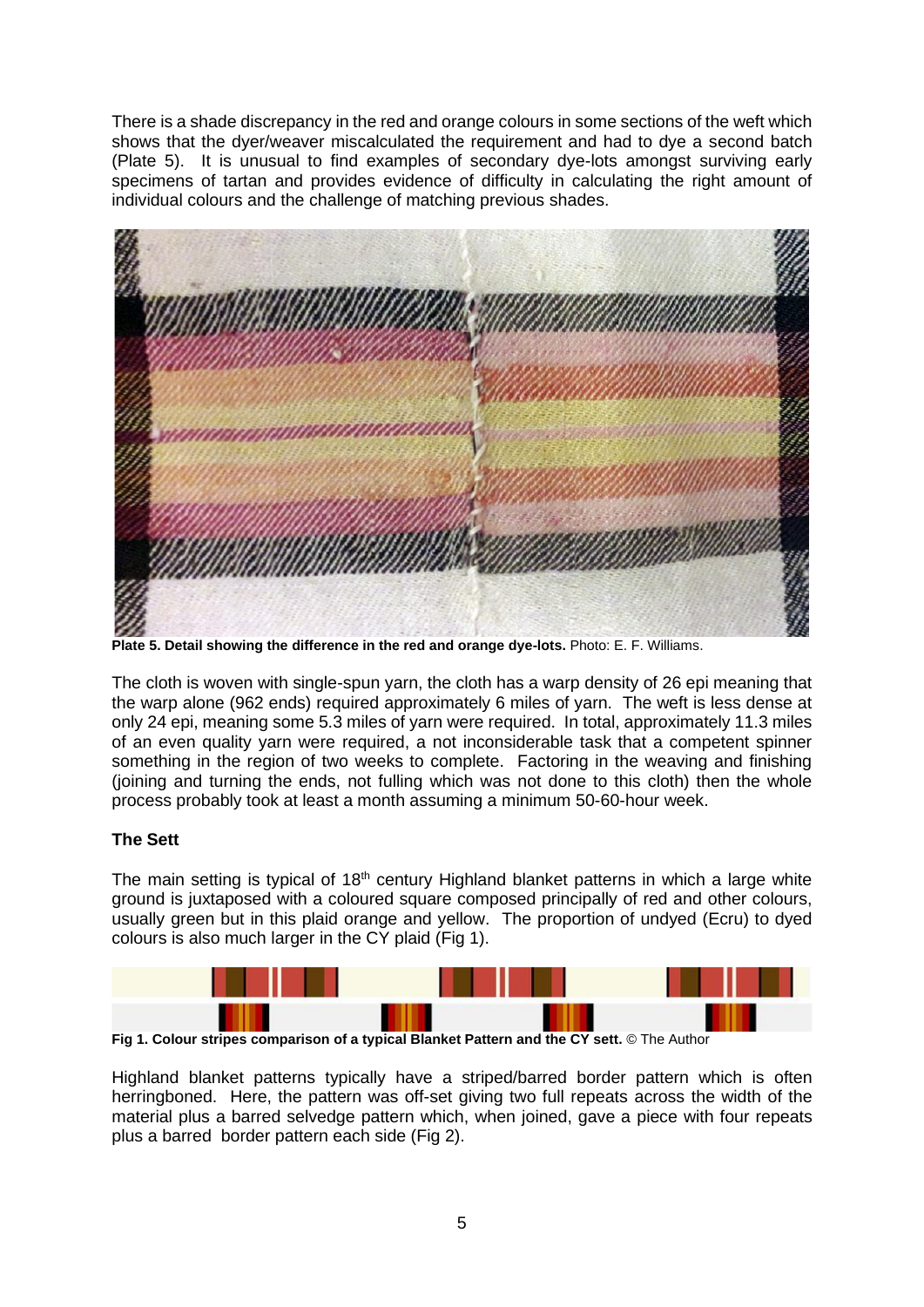There is a shade discrepancy in the red and orange colours in some sections of the weft which shows that the dyer/weaver miscalculated the requirement and had to dye a second batch (Plate 5). It is unusual to find examples of secondary dye-lots amongst surviving early specimens of tartan and provides evidence of difficulty in calculating the right amount of individual colours and the challenge of matching previous shades.



**Plate 5. Detail showing the difference in the red and orange dye-lots.** Photo: E. F. Williams.

The cloth is woven with single-spun yarn, the cloth has a warp density of 26 epi meaning that the warp alone (962 ends) required approximately 6 miles of yarn. The weft is less dense at only 24 epi, meaning some 5.3 miles of yarn were required. In total, approximately 11.3 miles of an even quality yarn were required, a not inconsiderable task that a competent spinner something in the region of two weeks to complete. Factoring in the weaving and finishing (joining and turning the ends, not fulling which was not done to this cloth) then the whole process probably took at least a month assuming a minimum 50-60-hour week.

## **The Sett**

The main setting is typical of  $18<sup>th</sup>$  century Highland blanket patterns in which a large white ground is juxtaposed with a coloured square composed principally of red and other colours, usually green but in this plaid orange and yellow. The proportion of undyed (Ecru) to dyed colours is also much larger in the CY plaid (Fig 1).



**Fig 1. Colour stripes comparison of a typical Blanket Pattern and the CY sett.** © The Author

Highland blanket patterns typically have a striped/barred border pattern which is often herringboned. Here, the pattern was off-set giving two full repeats across the width of the material plus a barred selvedge pattern which, when joined, gave a piece with four repeats plus a barred border pattern each side (Fig 2).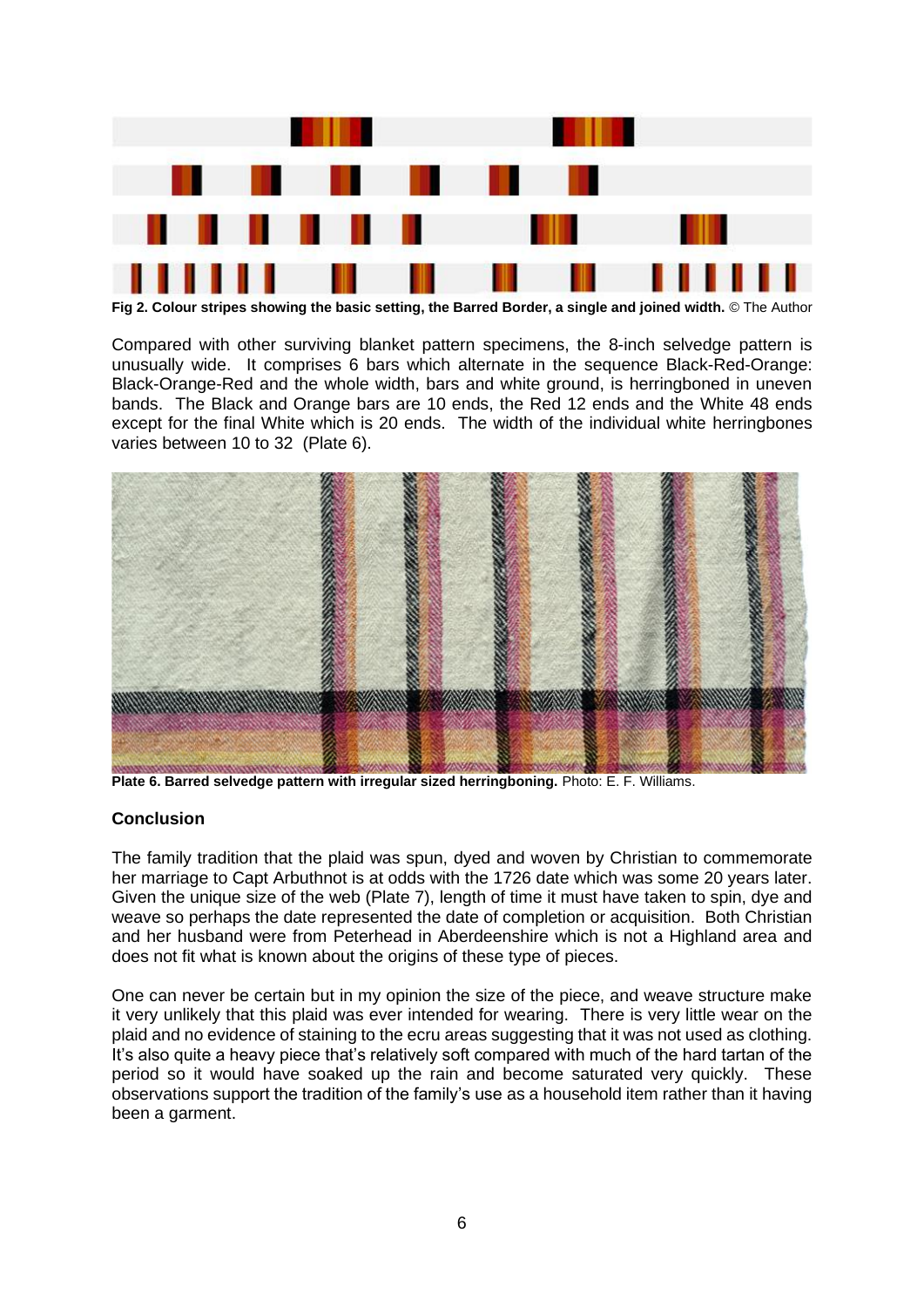

**Fig 2. Colour stripes showing the basic setting, the Barred Border, a single and joined width.** © The Author

Compared with other surviving blanket pattern specimens, the 8-inch selvedge pattern is unusually wide. It comprises 6 bars which alternate in the sequence Black-Red-Orange: Black-Orange-Red and the whole width, bars and white ground, is herringboned in uneven bands. The Black and Orange bars are 10 ends, the Red 12 ends and the White 48 ends except for the final White which is 20 ends. The width of the individual white herringbones varies between 10 to 32 (Plate 6).



**Plate 6. Barred selvedge pattern with irregular sized herringboning.** Photo: E. F. Williams.

#### **Conclusion**

The family tradition that the plaid was spun, dyed and woven by Christian to commemorate her marriage to Capt Arbuthnot is at odds with the 1726 date which was some 20 years later. Given the unique size of the web (Plate 7), length of time it must have taken to spin, dye and weave so perhaps the date represented the date of completion or acquisition. Both Christian and her husband were from Peterhead in Aberdeenshire which is not a Highland area and does not fit what is known about the origins of these type of pieces.

One can never be certain but in my opinion the size of the piece, and weave structure make it very unlikely that this plaid was ever intended for wearing. There is very little wear on the plaid and no evidence of staining to the ecru areas suggesting that it was not used as clothing. It's also quite a heavy piece that's relatively soft compared with much of the hard tartan of the period so it would have soaked up the rain and become saturated very quickly. These observations support the tradition of the family's use as a household item rather than it having been a garment.